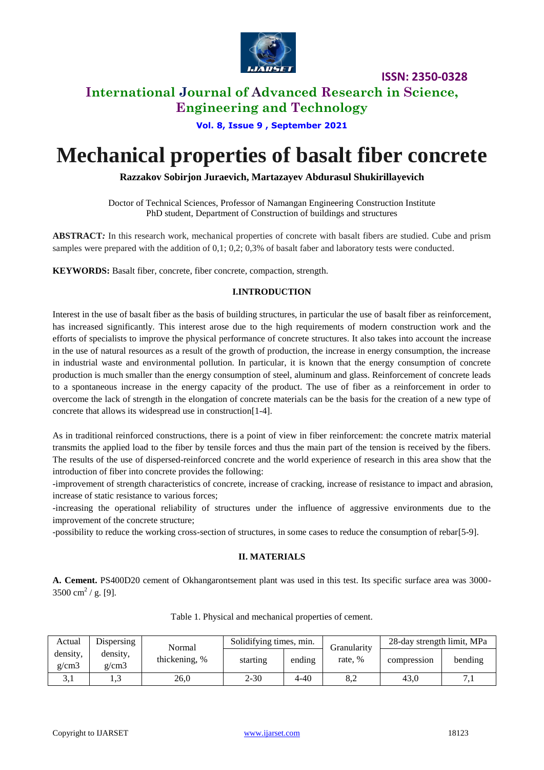

**ISSN: 2350-0328**

# **International Journal of Advanced Research in Science,**

**Engineering and Technology**

**Vol. 8, Issue 9 , September 2021**

# **Mechanical properties of basalt fiber concrete**

**Razzakov Sobirjon Juraevich, Martazayev Abdurasul Shukirillayevich**

Doctor of Technical Sciences, Professor of Namangan Engineering Construction Institute PhD student, Department of Construction of buildings and structures

**ABSTRACT***:* In this research work, mechanical properties of concrete with basalt fibers are studied. Cube and prism samples were prepared with the addition of 0,1; 0,2; 0,3% of basalt faber and laboratory tests were conducted.

**KEYWORDS:** Basalt fiber, concrete, fiber concrete, compaction, strength.

#### **I.INTRODUCTION**

Interest in the use of basalt fiber as the basis of building structures, in particular the use of basalt fiber as reinforcement, has increased significantly. This interest arose due to the high requirements of modern construction work and the efforts of specialists to improve the physical performance of concrete structures. It also takes into account the increase in the use of natural resources as a result of the growth of production, the increase in energy consumption, the increase in industrial waste and environmental pollution. In particular, it is known that the energy consumption of concrete production is much smaller than the energy consumption of steel, aluminum and glass. Reinforcement of concrete leads to a spontaneous increase in the energy capacity of the product. The use of fiber as a reinforcement in order to overcome the lack of strength in the elongation of concrete materials can be the basis for the creation of a new type of concrete that allows its widespread use in construction[1-4].

As in traditional reinforced constructions, there is a point of view in fiber reinforcement: the concrete matrix material transmits the applied load to the fiber by tensile forces and thus the main part of the tension is received by the fibers. The results of the use of dispersed-reinforced concrete and the world experience of research in this area show that the introduction of fiber into concrete provides the following:

-improvement of strength characteristics of concrete, increase of cracking, increase of resistance to impact and abrasion, increase of static resistance to various forces;

-increasing the operational reliability of structures under the influence of aggressive environments due to the improvement of the concrete structure;

-possibility to reduce the working cross-section of structures, in some cases to reduce the consumption of rebar[5-9].

#### **II. MATERIALS**

**A. Cement.** PS400D20 cement of Okhangarontsement plant was used in this test. Its specific surface area was 3000-  $3500 \text{ cm}^2 / \text{ g.}$  [9].

| Actual            | Dispersing        | Normal        | Solidifying times, min. |          | Granularitv | 28-day strength limit, MPa |         |
|-------------------|-------------------|---------------|-------------------------|----------|-------------|----------------------------|---------|
| density,<br>g/cm3 | density.<br>g/cm3 | thickening, % | starting                | ending   | rate. %     | compression                | bending |
| 3.1               |                   | 26,0          | $2 - 30$                | $4 - 40$ | 8.2         | 43.0                       | 7.1     |

Table 1. Physical and mechanical properties of cement.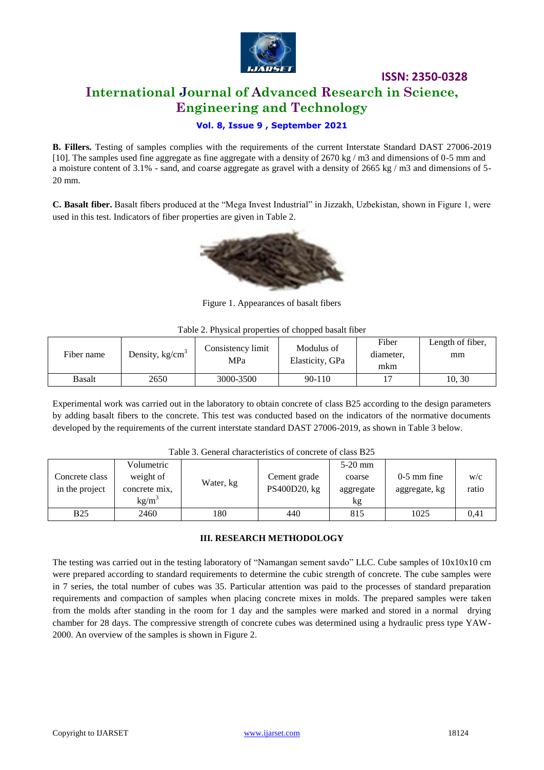

### **ISSN: 2350-0328 International Journal of Advanced Research in Science, Engineering and Technology**

#### **Vol. 8, Issue 9 , September 2021**

**B. Fillers.** Testing of samples complies with the requirements of the current Interstate Standard DAST 27006-2019 [10]. The samples used fine aggregate as fine aggregate with a density of 2670 kg / m3 and dimensions of 0-5 mm and a moisture content of 3.1% - sand, and coarse aggregate as gravel with a density of 2665 kg / m3 and dimensions of 5- 20 mm.

**C. Basalt fiber.** Basalt fibers produced at the "Mega Invest Industrial" in Jizzakh, Uzbekistan, shown in Figure 1, were used in this test. Indicators of fiber properties are given in Table 2.



Figure 1. Appearances of basalt fibers

|  | Table 2. Physical properties of chopped basalt fiber |  |
|--|------------------------------------------------------|--|
|--|------------------------------------------------------|--|

| Fiber name | Density, $kg/cm3$ | Consistency limit<br>MPa | Modulus of<br>Elasticity, GPa | Fiber<br>diameter.<br>mkm | Length of fiber,<br>mm |
|------------|-------------------|--------------------------|-------------------------------|---------------------------|------------------------|
| Basalt     | 2650              | 3000-3500                | $90 - 110$                    |                           | 10.30                  |

Experimental work was carried out in the laboratory to obtain concrete of class B25 according to the design parameters by adding basalt fibers to the concrete. This test was conducted based on the indicators of the normative documents developed by the requirements of the current interstate standard DAST 27006-2019, as shown in Table 3 below.

| Table 3. General characteristics of concrete of class B25 |  |
|-----------------------------------------------------------|--|
|-----------------------------------------------------------|--|

| Concrete class<br>in the project | Volumetric<br>weight of<br>concrete mix,<br>$kg/m^3$ | Water, kg | Cement grade<br>PS400D20, kg | $5-20$ mm<br>coarse<br>aggregate<br>kg | $0-5$ mm fine<br>aggregate, kg | W/C<br>ratio |
|----------------------------------|------------------------------------------------------|-----------|------------------------------|----------------------------------------|--------------------------------|--------------|
| <b>B25</b>                       | 2460                                                 | 180       | 440                          | 815                                    | 1025                           | 0,41         |

#### **III. RESEARCH METHODOLOGY**

The testing was carried out in the testing laboratory of "Namangan sement savdo" LLC. Cube samples of 10x10x10 cm were prepared according to standard requirements to determine the cubic strength of concrete. The cube samples were in 7 series, the total number of cubes was 35. Particular attention was paid to the processes of standard preparation requirements and compaction of samples when placing concrete mixes in molds. The prepared samples were taken from the molds after standing in the room for 1 day and the samples were marked and stored in a normal drying chamber for 28 days. The compressive strength of concrete cubes was determined using a hydraulic press type YAW-2000. An overview of the samples is shown in Figure 2.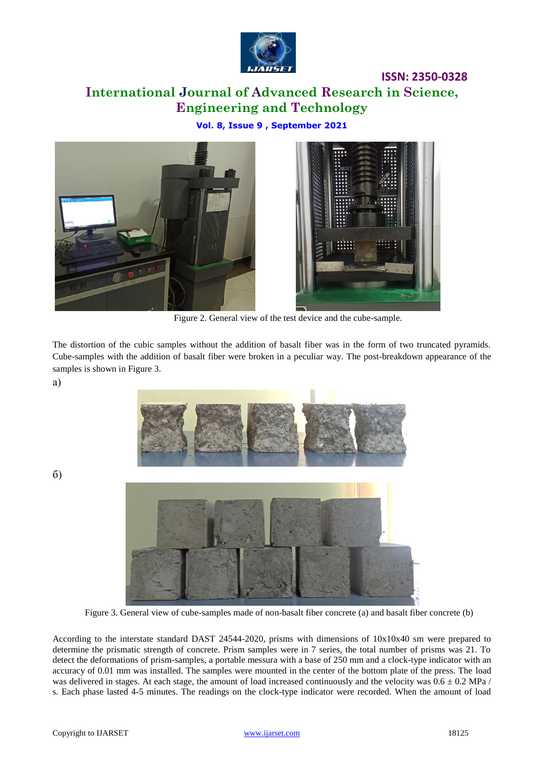

# **ISSN: 2350-0328 International Journal of Advanced Research in Science, Engineering and Technology**

**Vol. 8, Issue 9 , September 2021**





Figure 2. General view of the test device and the cube-sample.

The distortion of the cubic samples without the addition of basalt fiber was in the form of two truncated pyramids. Cube-samples with the addition of basalt fiber were broken in a peculiar way. The post-breakdown appearance of the samples is shown in Figure 3.

а)



б)



Figure 3. General view of cube-samples made of non-basalt fiber concrete (a) and basalt fiber concrete (b)

According to the interstate standard DAST 24544-2020, prisms with dimensions of 10x10x40 sm were prepared to determine the prismatic strength of concrete. Prism samples were in 7 series, the total number of prisms was 21. To detect the deformations of prism-samples, a portable messura with a base of 250 mm and a clock-type indicator with an accuracy of 0.01 mm was installed. The samples were mounted in the center of the bottom plate of the press. The load was delivered in stages. At each stage, the amount of load increased continuously and the velocity was  $0.6 \pm 0.2$  MPa / s. Each phase lasted 4-5 minutes. The readings on the clock-type indicator were recorded. When the amount of load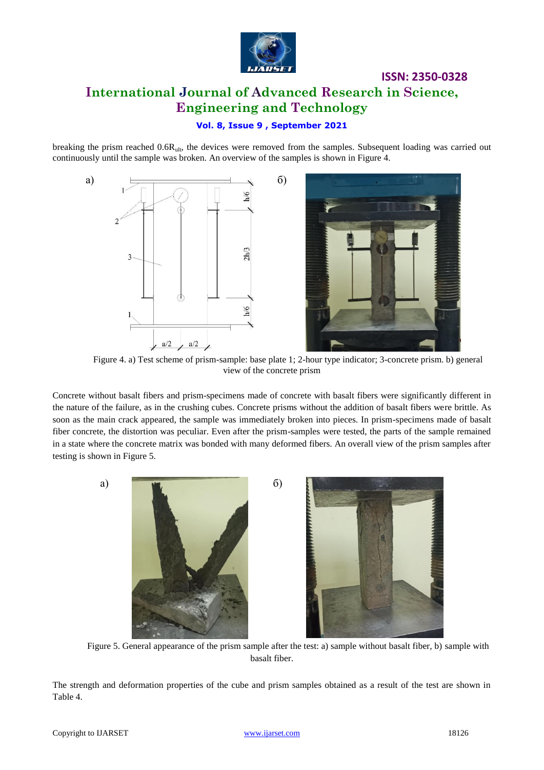

## **ISSN: 2350-0328 International Journal of Advanced Research in Science, Engineering and Technology**

#### **Vol. 8, Issue 9 , September 2021**

breaking the prism reached 0.6Rult, the devices were removed from the samples. Subsequent loading was carried out continuously until the sample was broken. An overview of the samples is shown in Figure 4.



Figure 4. a) Test scheme of prism-sample: base plate 1; 2-hour type indicator; 3-concrete prism. b) general view of the concrete prism

Concrete without basalt fibers and prism-specimens made of concrete with basalt fibers were significantly different in the nature of the failure, as in the crushing cubes. Concrete prisms without the addition of basalt fibers were brittle. As soon as the main crack appeared, the sample was immediately broken into pieces. In prism-specimens made of basalt fiber concrete, the distortion was peculiar. Even after the prism-samples were tested, the parts of the sample remained in a state where the concrete matrix was bonded with many deformed fibers. An overall view of the prism samples after testing is shown in Figure 5.



Figure 5. General appearance of the prism sample after the test: a) sample without basalt fiber, b) sample with basalt fiber.

The strength and deformation properties of the cube and prism samples obtained as a result of the test are shown in Table 4.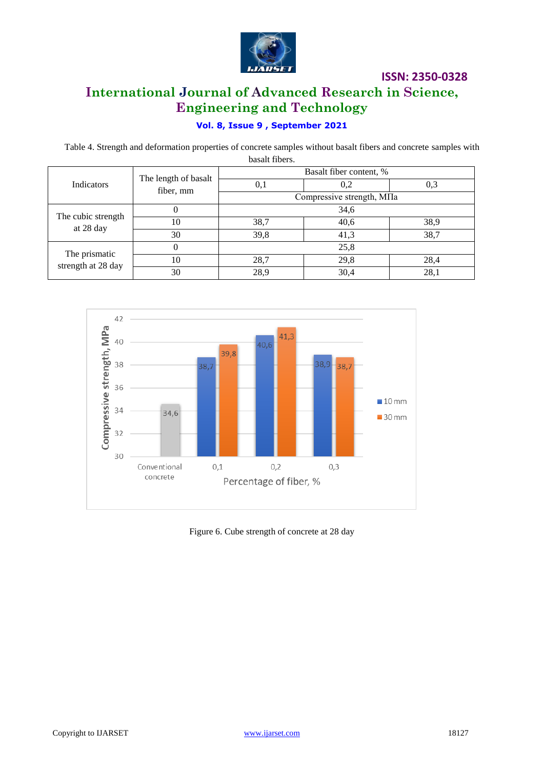

### **ISSN: 2350-0328**

## **International Journal of Advanced Research in Science, Engineering and Technology**

### **Vol. 8, Issue 9 , September 2021**

Table 4. Strength and deformation properties of concrete samples without basalt fibers and concrete samples with basalt fibers.

|                                     | The length of basalt<br>fiber, mm | Basalt fiber content, %    |      |      |  |
|-------------------------------------|-----------------------------------|----------------------------|------|------|--|
| <b>Indicators</b>                   |                                   | U, I                       | 0,2  | 0.3  |  |
|                                     |                                   | Compressive strength, MIIa |      |      |  |
| The cubic strength                  | U                                 | 34,6                       |      |      |  |
| at 28 day                           | 10                                | 38,7                       | 40,6 | 38,9 |  |
|                                     | 30                                | 39,8                       | 41,3 | 38,7 |  |
|                                     | 0                                 | 25,8                       |      |      |  |
| The prismatic<br>strength at 28 day | 10                                | 28,7                       | 29,8 | 28,4 |  |
|                                     | 30                                | 28.9                       | 30,4 | 28.  |  |



Figure 6. Cube strength of concrete at 28 day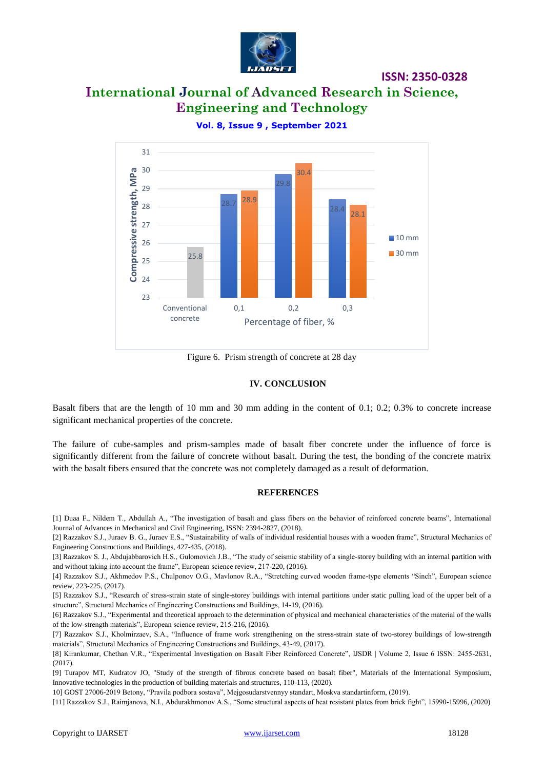

**ISSN: 2350-0328**

# **International Journal of Advanced Research in Science, Engineering and Technology**



**Vol. 8, Issue 9 , September 2021**

Figure 6. Prism strength of concrete at 28 day

#### **IV. CONCLUSION**

Basalt fibers that are the length of 10 mm and 30 mm adding in the content of 0.1; 0.2; 0.3% to concrete increase significant mechanical properties of the concrete.

The failure of cube-samples and prism-samples made of basalt fiber concrete under the influence of force is significantly different from the failure of concrete without basalt. During the test, the bonding of the concrete matrix with the basalt fibers ensured that the concrete was not completely damaged as a result of deformation.

#### **REFERENCES**

[1] Duaa F., Nildem T., Abdullah A., "The investigation of basalt and glass fibers on the behavior of reinforced concrete beams", International Journal of Advances in Mechanical and Civil Engineering, ISSN: 2394-2827, (2018).

[2] Razzakov S.J., Juraev B. G., Juraev E.S., "Sustainability of walls of individual residential houses with a wooden frame", Structural Mechanics of Engineering Constructions and Buildings, 427-435, (2018).

[3] Razzakov S. J., Abdujabbarovich H.S., Gulomovich J.B., "The study of seismic stability of a single-storey building with an internal partition with and without taking into account the frame", European science review, 217-220, (2016).

[4] Razzakov S.J., Akhmedov P.S., Chulponov O.G., Mavlonov R.A., "Stretching curved wooden frame-type elements "Sinch", European science review, 223-225, (2017).

[5] Razzakov S.J., "Research of stress-strain state of single-storey buildings with internal partitions under static pulling load of the upper belt of a structure", Structural Mechanics of Engineering Constructions and Buildings, 14-19, (2016).

[6] Razzakov S.J., "Experimental and theoretical approach to the determination of physical and mechanical characteristics of the material of the walls of the low-strength materials", European science review, 215-216, (2016).

[7] Razzakov S.J., Kholmirzaev, S.A., "Influence of frame work strengthening on the stress-strain state of two-storey buildings of low-strength materials", Structural Mechanics of Engineering Constructions and Buildings, 43-49, (2017).

[8] Kirankumar, Chethan V.R., "Experimental Investigation on Basalt Fiber Reinforced Concrete", IJSDR | Volume 2, Issue 6 ISSN: 2455-2631, (2017).

[9] Turapov MT, Kudratov JO, "Study of the strength of fibrous concrete based on basalt fiber", Materials of the International Symposium, Innovative technologies in the production of building materials and structures, 110-113, (2020).

10] GOST 27006-2019 Betony, "Pravila podbora sostava", Mejgosudarstvennyy standart, Moskva standartinform, (2019).

[11] Razzakov S.J., Raimjanova, N.I., Abdurakhmonov A.S., "Some structural aspects of heat resistant plates from brick fight", 15990-15996, (2020)